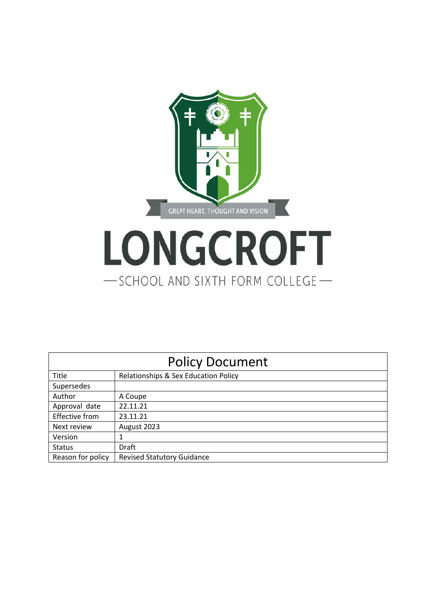

# LONGCROFT -SCHOOL AND SIXTH FORM COLLEGE-

| <b>Policy Document</b> |                                      |  |
|------------------------|--------------------------------------|--|
| Title                  | Relationships & Sex Education Policy |  |
| Supersedes             |                                      |  |
| Author                 | A Coupe                              |  |
| Approval date          | 22.11.21                             |  |
| Effective from         | 23.11.21                             |  |
| Next review            | August 2023                          |  |
| Version                |                                      |  |
| <b>Status</b>          | Draft                                |  |
| Reason for policy      | <b>Revised Statutory Guidance</b>    |  |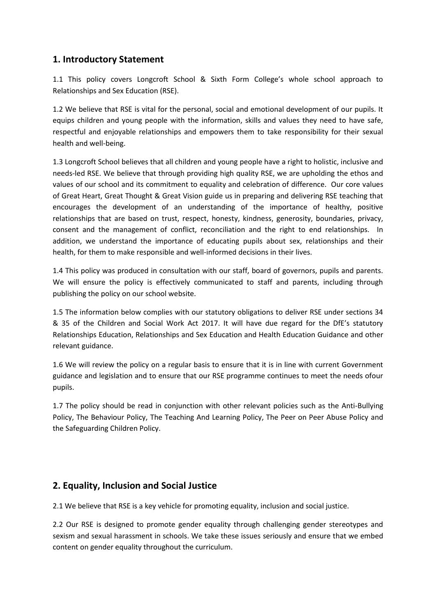## **1. Introductory Statement**

1.1 This policy covers Longcroft School & Sixth Form College's whole school approach to Relationships and Sex Education (RSE).

1.2 We believe that RSE is vital for the personal, social and emotional development of our pupils. It equips children and young people with the information, skills and values they need to have safe, respectful and enjoyable relationships and empowers them to take responsibility for their sexual health and well-being.

1.3 Longcroft School believes that all children and young people have a right to holistic, inclusive and needs-led RSE. We believe that through providing high quality RSE, we are upholding the ethos and values of our school and its commitment to equality and celebration of difference. Our core values of Great Heart, Great Thought & Great Vision guide us in preparing and delivering RSE teaching that encourages the development of an understanding of the importance of healthy, positive relationships that are based on trust, respect, honesty, kindness, generosity, boundaries, privacy, consent and the management of conflict, reconciliation and the right to end relationships. In addition, we understand the importance of educating pupils about sex, relationships and their health, for them to make responsible and well-informed decisions in their lives.

1.4 This policy was produced in consultation with our staff, board of governors, pupils and parents. We will ensure the policy is effectively communicated to staff and parents, including through publishing the policy on our school website.

1.5 The information below complies with our statutory obligations to deliver RSE under sections 34 & 35 of the Children and Social Work Act 2017. It will have due regard for the DfE's statutory Relationships Education, Relationships and Sex Education and Health Education Guidance and other relevant guidance.

1.6 We will review the policy on a regular basis to ensure that it is in line with current Government guidance and legislation and to ensure that our RSE programme continues to meet the needs ofour pupils.

1.7 The policy should be read in conjunction with other relevant policies such as the Anti-Bullying Policy, The Behaviour Policy, The Teaching And Learning Policy, The Peer on Peer Abuse Policy and the Safeguarding Children Policy.

## **2. Equality, Inclusion and Social Justice**

2.1 We believe that RSE is a key vehicle for promoting equality, inclusion and social justice.

2.2 Our RSE is designed to promote gender equality through challenging gender stereotypes and sexism and sexual harassment in schools. We take these issues seriously and ensure that we embed content on gender equality throughout the curriculum.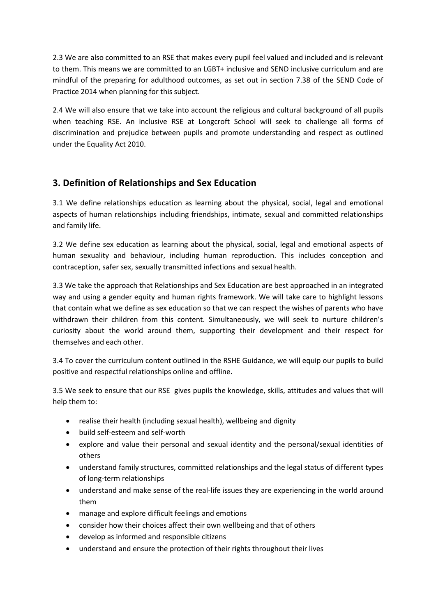2.3 We are also committed to an RSE that makes every pupil feel valued and included and is relevant to them. This means we are committed to an LGBT+ inclusive and SEND inclusive curriculum and are mindful of the preparing for adulthood outcomes, as set out in section 7.38 of the SEND Code of Practice 2014 when planning for this subject.

2.4 We will also ensure that we take into account the religious and cultural background of all pupils when teaching RSE. An inclusive RSE at Longcroft School will seek to challenge all forms of discrimination and prejudice between pupils and promote understanding and respect as outlined under the Equality Act 2010.

## **3. Definition of Relationships and Sex Education**

3.1 We define relationships education as learning about the physical, social, legal and emotional aspects of human relationships including friendships, intimate, sexual and committed relationships and family life.

3.2 We define sex education as learning about the physical, social, legal and emotional aspects of human sexuality and behaviour, including human reproduction. This includes conception and contraception, safer sex, sexually transmitted infections and sexual health.

3.3 We take the approach that Relationships and Sex Education are best approached in an integrated way and using a gender equity and human rights framework. We will take care to highlight lessons that contain what we define as sex education so that we can respect the wishes of parents who have withdrawn their children from this content. Simultaneously, we will seek to nurture children's curiosity about the world around them, supporting their development and their respect for themselves and each other.

3.4 To cover the curriculum content outlined in the RSHE Guidance, we will equip our pupils to build positive and respectful relationships online and offline.

3.5 We seek to ensure that our RSE gives pupils the knowledge, skills, attitudes and values that will help them to:

- realise their health (including sexual health), wellbeing and dignity
- build self-esteem and self-worth
- explore and value their personal and sexual identity and the personal/sexual identities of others
- understand family structures, committed relationships and the legal status of different types of long-term relationships
- understand and make sense of the real-life issues they are experiencing in the world around them
- manage and explore difficult feelings and emotions
- consider how their choices affect their own wellbeing and that of others
- develop as informed and responsible citizens
- understand and ensure the protection of their rights throughout their lives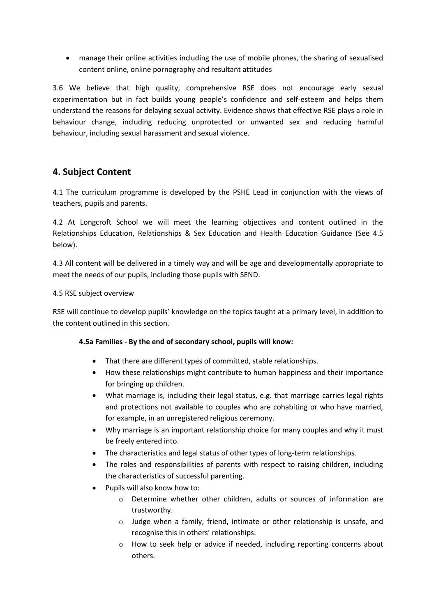• manage their online activities including the use of mobile phones, the sharing of sexualised content online, online pornography and resultant attitudes

3.6 We believe that high quality, comprehensive RSE does not encourage early sexual experimentation but in fact builds young people's confidence and self-esteem and helps them understand the reasons for delaying sexual activity. Evidence shows that effective RSE plays a role in behaviour change, including reducing unprotected or unwanted sex and reducing harmful behaviour, including sexual harassment and sexual violence.

## **4. Subject Content**

4.1 The curriculum programme is developed by the PSHE Lead in conjunction with the views of teachers, pupils and parents.

4.2 At Longcroft School we will meet the learning objectives and content outlined in the Relationships Education, Relationships & Sex Education and Health Education Guidance (See 4.5 below).

4.3 All content will be delivered in a timely way and will be age and developmentally appropriate to meet the needs of our pupils, including those pupils with SEND.

#### 4.5 RSE subject overview

RSE will continue to develop pupils' knowledge on the topics taught at a primary level, in addition to the content outlined in this section.

#### **4.5a Families - By the end of secondary school, pupils will know:**

- That there are different types of committed, stable relationships.
- How these relationships might contribute to human happiness and their importance for bringing up children.
- What marriage is, including their legal status, e.g. that marriage carries legal rights and protections not available to couples who are cohabiting or who have married, for example, in an unregistered religious ceremony.
- Why marriage is an important relationship choice for many couples and why it must be freely entered into.
- The characteristics and legal status of other types of long-term relationships.
- The roles and responsibilities of parents with respect to raising children, including the characteristics of successful parenting.
- Pupils will also know how to:
	- o Determine whether other children, adults or sources of information are trustworthy.
	- $\circ$  Judge when a family, friend, intimate or other relationship is unsafe, and recognise this in others' relationships.
	- o How to seek help or advice if needed, including reporting concerns about others.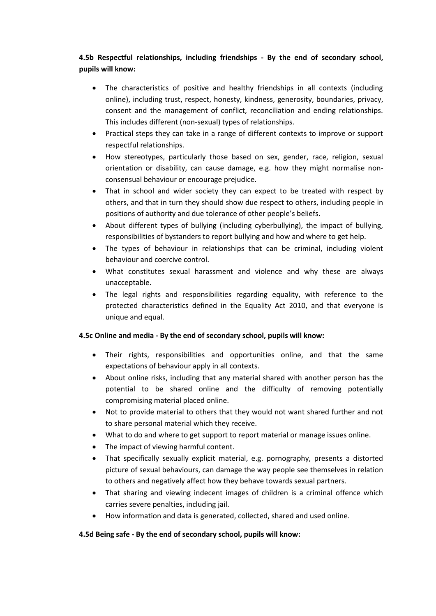#### **4.5b Respectful relationships, including friendships - By the end of secondary school, pupils will know:**

- The characteristics of positive and healthy friendships in all contexts (including online), including trust, respect, honesty, kindness, generosity, boundaries, privacy, consent and the management of conflict, reconciliation and ending relationships. This includes different (non-sexual) types of relationships.
- Practical steps they can take in a range of different contexts to improve or support respectful relationships.
- How stereotypes, particularly those based on sex, gender, race, religion, sexual orientation or disability, can cause damage, e.g. how they might normalise nonconsensual behaviour or encourage prejudice.
- That in school and wider society they can expect to be treated with respect by others, and that in turn they should show due respect to others, including people in positions of authority and due tolerance of other people's beliefs.
- About different types of bullying (including cyberbullying), the impact of bullying, responsibilities of bystanders to report bullying and how and where to get help.
- The types of behaviour in relationships that can be criminal, including violent behaviour and coercive control.
- What constitutes sexual harassment and violence and why these are always unacceptable.
- The legal rights and responsibilities regarding equality, with reference to the protected characteristics defined in the Equality Act 2010, and that everyone is unique and equal.

#### **4.5c Online and media - By the end of secondary school, pupils will know:**

- Their rights, responsibilities and opportunities online, and that the same expectations of behaviour apply in all contexts.
- About online risks, including that any material shared with another person has the potential to be shared online and the difficulty of removing potentially compromising material placed online.
- Not to provide material to others that they would not want shared further and not to share personal material which they receive.
- What to do and where to get support to report material or manage issues online.
- The impact of viewing harmful content.
- That specifically sexually explicit material, e.g. pornography, presents a distorted picture of sexual behaviours, can damage the way people see themselves in relation to others and negatively affect how they behave towards sexual partners.
- That sharing and viewing indecent images of children is a criminal offence which carries severe penalties, including jail.
- How information and data is generated, collected, shared and used online.

#### **4.5d Being safe - By the end of secondary school, pupils will know:**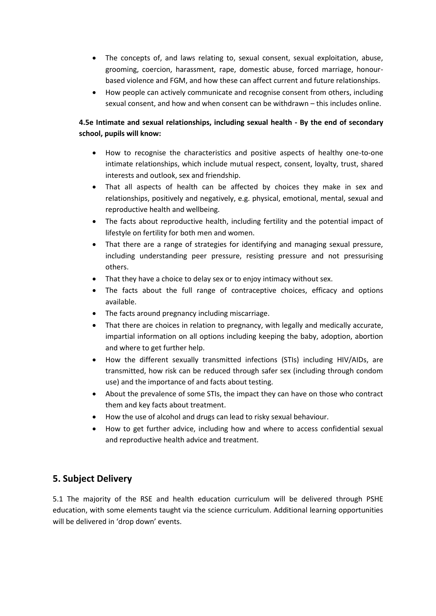- The concepts of, and laws relating to, sexual consent, sexual exploitation, abuse, grooming, coercion, harassment, rape, domestic abuse, forced marriage, honourbased violence and FGM, and how these can affect current and future relationships.
- How people can actively communicate and recognise consent from others, including sexual consent, and how and when consent can be withdrawn – this includes online.

#### **4.5e Intimate and sexual relationships, including sexual health - By the end of secondary school, pupils will know:**

- How to recognise the characteristics and positive aspects of healthy one-to-one intimate relationships, which include mutual respect, consent, loyalty, trust, shared interests and outlook, sex and friendship.
- That all aspects of health can be affected by choices they make in sex and relationships, positively and negatively, e.g. physical, emotional, mental, sexual and reproductive health and wellbeing.
- The facts about reproductive health, including fertility and the potential impact of lifestyle on fertility for both men and women.
- That there are a range of strategies for identifying and managing sexual pressure, including understanding peer pressure, resisting pressure and not pressurising others.
- That they have a choice to delay sex or to enjoy intimacy without sex.
- The facts about the full range of contraceptive choices, efficacy and options available.
- The facts around pregnancy including miscarriage.
- That there are choices in relation to pregnancy, with legally and medically accurate, impartial information on all options including keeping the baby, adoption, abortion and where to get further help.
- How the different sexually transmitted infections (STIs) including HIV/AIDs, are transmitted, how risk can be reduced through safer sex (including through condom use) and the importance of and facts about testing.
- About the prevalence of some STIs, the impact they can have on those who contract them and key facts about treatment.
- How the use of alcohol and drugs can lead to risky sexual behaviour.
- How to get further advice, including how and where to access confidential sexual and reproductive health advice and treatment.

## **5. Subject Delivery**

5.1 The majority of the RSE and health education curriculum will be delivered through PSHE education, with some elements taught via the science curriculum. Additional learning opportunities will be delivered in 'drop down' events.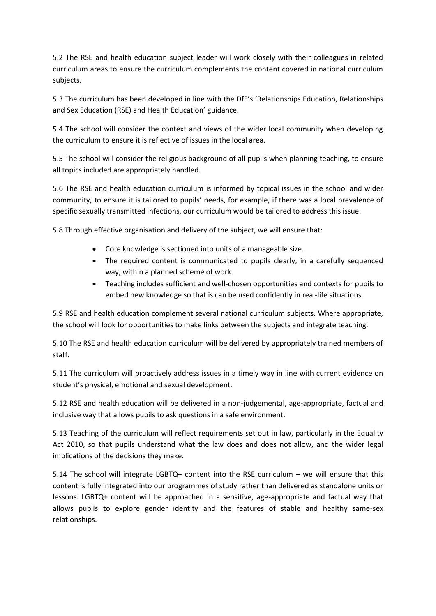5.2 The RSE and health education subject leader will work closely with their colleagues in related curriculum areas to ensure the curriculum complements the content covered in national curriculum subjects.

5.3 The curriculum has been developed in line with the DfE's 'Relationships Education, Relationships and Sex Education (RSE) and Health Education' guidance.

5.4 The school will consider the context and views of the wider local community when developing the curriculum to ensure it is reflective of issues in the local area.

5.5 The school will consider the religious background of all pupils when planning teaching, to ensure all topics included are appropriately handled.

5.6 The RSE and health education curriculum is informed by topical issues in the school and wider community, to ensure it is tailored to pupils' needs, for example, if there was a local prevalence of specific sexually transmitted infections, our curriculum would be tailored to address this issue.

5.8 Through effective organisation and delivery of the subject, we will ensure that:

- Core knowledge is sectioned into units of a manageable size.
- The required content is communicated to pupils clearly, in a carefully sequenced way, within a planned scheme of work.
- Teaching includes sufficient and well-chosen opportunities and contexts for pupils to embed new knowledge so that is can be used confidently in real-life situations.

5.9 RSE and health education complement several national curriculum subjects. Where appropriate, the school will look for opportunities to make links between the subjects and integrate teaching.

5.10 The RSE and health education curriculum will be delivered by appropriately trained members of staff.

5.11 The curriculum will proactively address issues in a timely way in line with current evidence on student's physical, emotional and sexual development.

5.12 RSE and health education will be delivered in a non-judgemental, age-appropriate, factual and inclusive way that allows pupils to ask questions in a safe environment.

5.13 Teaching of the curriculum will reflect requirements set out in law, particularly in the Equality Act 2010, so that pupils understand what the law does and does not allow, and the wider legal implications of the decisions they make.

5.14 The school will integrate LGBTQ+ content into the RSE curriculum – we will ensure that this content is fully integrated into our programmes of study rather than delivered as standalone units or lessons. LGBTQ+ content will be approached in a sensitive, age-appropriate and factual way that allows pupils to explore gender identity and the features of stable and healthy same-sex relationships.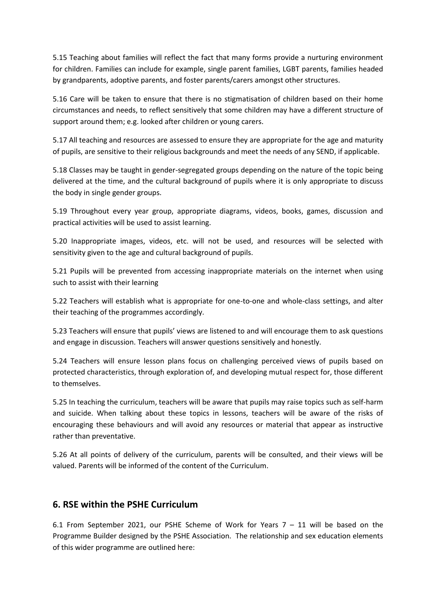5.15 Teaching about families will reflect the fact that many forms provide a nurturing environment for children. Families can include for example, single parent families, LGBT parents, families headed by grandparents, adoptive parents, and foster parents/carers amongst other structures.

5.16 Care will be taken to ensure that there is no stigmatisation of children based on their home circumstances and needs, to reflect sensitively that some children may have a different structure of support around them; e.g. looked after children or young carers.

5.17 All teaching and resources are assessed to ensure they are appropriate for the age and maturity of pupils, are sensitive to their religious backgrounds and meet the needs of any SEND, if applicable.

5.18 Classes may be taught in gender-segregated groups depending on the nature of the topic being delivered at the time, and the cultural background of pupils where it is only appropriate to discuss the body in single gender groups.

5.19 Throughout every year group, appropriate diagrams, videos, books, games, discussion and practical activities will be used to assist learning.

5.20 Inappropriate images, videos, etc. will not be used, and resources will be selected with sensitivity given to the age and cultural background of pupils.

5.21 Pupils will be prevented from accessing inappropriate materials on the internet when using such to assist with their learning

5.22 Teachers will establish what is appropriate for one-to-one and whole-class settings, and alter their teaching of the programmes accordingly.

5.23 Teachers will ensure that pupils' views are listened to and will encourage them to ask questions and engage in discussion. Teachers will answer questions sensitively and honestly.

5.24 Teachers will ensure lesson plans focus on challenging perceived views of pupils based on protected characteristics, through exploration of, and developing mutual respect for, those different to themselves.

5.25 In teaching the curriculum, teachers will be aware that pupils may raise topics such as self-harm and suicide. When talking about these topics in lessons, teachers will be aware of the risks of encouraging these behaviours and will avoid any resources or material that appear as instructive rather than preventative.

5.26 At all points of delivery of the curriculum, parents will be consulted, and their views will be valued. Parents will be informed of the content of the Curriculum.

#### **6. RSE within the PSHE Curriculum**

6.1 From September 2021, our PSHE Scheme of Work for Years 7 – 11 will be based on the Programme Builder designed by the PSHE Association. The relationship and sex education elements of this wider programme are outlined here: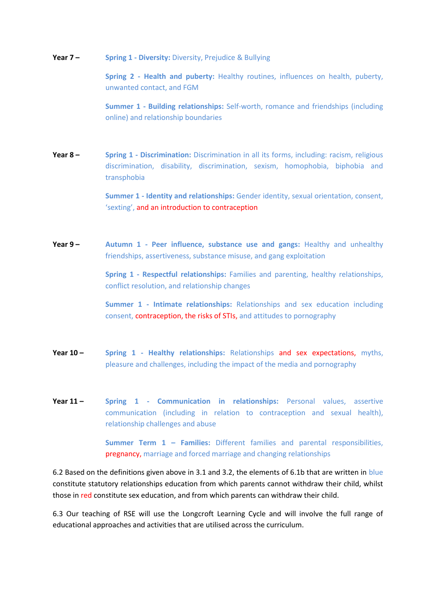**Year 7 – Spring 1 - Diversity:** Diversity, Prejudice & Bullying

**Spring 2 - Health and puberty:** Healthy routines, influences on health, puberty, unwanted contact, and FGM

**Summer 1 - Building relationships:** Self-worth, romance and friendships (including online) and relationship boundaries

**Year 8 – Spring 1 - Discrimination:** Discrimination in all its forms, including: racism, religious discrimination, disability, discrimination, sexism, homophobia, biphobia and transphobia

> **Summer 1 - Identity and relationships:** Gender identity, sexual orientation, consent, 'sexting', and an introduction to contraception

**Year 9 – Autumn 1 - Peer influence, substance use and gangs:** Healthy and unhealthy friendships, assertiveness, substance misuse, and gang exploitation

> **Spring 1 - Respectful relationships:** Families and parenting, healthy relationships, conflict resolution, and relationship changes

> **Summer 1 - Intimate relationships:** Relationships and sex education including consent, contraception, the risks of STIs, and attitudes to pornography

- **Year 10 -** Spring 1 Healthy relationships: Relationships and sex expectations, myths, pleasure and challenges, including the impact of the media and pornography
- **Year 11 – Spring 1 - Communication in relationships:** Personal values, assertive communication (including in relation to contraception and sexual health), relationship challenges and abuse

**Summer Term 1 – Families:** Different families and parental responsibilities, pregnancy, marriage and forced marriage and changing relationships

6.2 Based on the definitions given above in 3.1 and 3.2, the elements of 6.1b that are written in blue constitute statutory relationships education from which parents cannot withdraw their child, whilst those in red constitute sex education, and from which parents can withdraw their child.

6.3 Our teaching of RSE will use the Longcroft Learning Cycle and will involve the full range of educational approaches and activities that are utilised across the curriculum.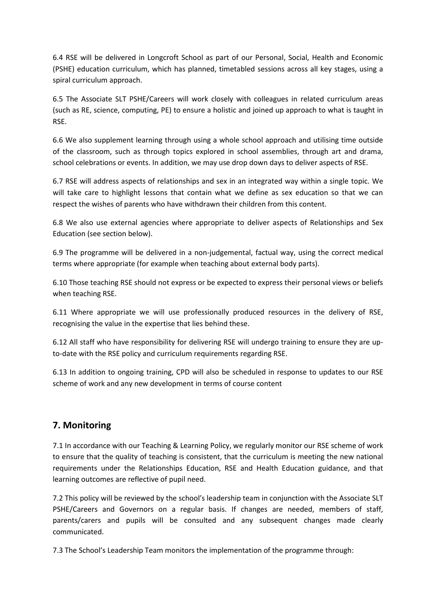6.4 RSE will be delivered in Longcroft School as part of our Personal, Social, Health and Economic (PSHE) education curriculum, which has planned, timetabled sessions across all key stages, using a spiral curriculum approach.

6.5 The Associate SLT PSHE/Careers will work closely with colleagues in related curriculum areas (such as RE, science, computing, PE) to ensure a holistic and joined up approach to what is taught in RSE.

6.6 We also supplement learning through using a whole school approach and utilising time outside of the classroom, such as through topics explored in school assemblies, through art and drama, school celebrations or events. In addition, we may use drop down days to deliver aspects of RSE.

6.7 RSE will address aspects of relationships and sex in an integrated way within a single topic. We will take care to highlight lessons that contain what we define as sex education so that we can respect the wishes of parents who have withdrawn their children from this content.

6.8 We also use external agencies where appropriate to deliver aspects of Relationships and Sex Education (see section below).

6.9 The programme will be delivered in a non-judgemental, factual way, using the correct medical terms where appropriate (for example when teaching about external body parts).

6.10 Those teaching RSE should not express or be expected to express their personal views or beliefs when teaching RSE.

6.11 Where appropriate we will use professionally produced resources in the delivery of RSE, recognising the value in the expertise that lies behind these.

6.12 All staff who have responsibility for delivering RSE will undergo training to ensure they are upto-date with the RSE policy and curriculum requirements regarding RSE.

6.13 In addition to ongoing training, CPD will also be scheduled in response to updates to our RSE scheme of work and any new development in terms of course content

#### **7. Monitoring**

7.1 In accordance with our Teaching & Learning Policy, we regularly monitor our RSE scheme of work to ensure that the quality of teaching is consistent, that the curriculum is meeting the new national requirements under the Relationships Education, RSE and Health Education guidance, and that learning outcomes are reflective of pupil need.

7.2 This policy will be reviewed by the school's leadership team in conjunction with the Associate SLT PSHE/Careers and Governors on a regular basis. If changes are needed, members of staff, parents/carers and pupils will be consulted and any subsequent changes made clearly communicated.

7.3 The School's Leadership Team monitors the implementation of the programme through: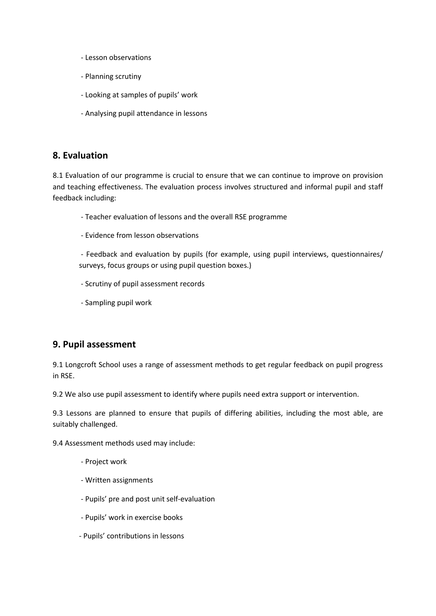- Lesson observations
- Planning scrutiny
- Looking at samples of pupils' work
- Analysing pupil attendance in lessons

#### **8. Evaluation**

8.1 Evaluation of our programme is crucial to ensure that we can continue to improve on provision and teaching effectiveness. The evaluation process involves structured and informal pupil and staff feedback including:

- Teacher evaluation of lessons and the overall RSE programme
- Evidence from lesson observations
- Feedback and evaluation by pupils (for example, using pupil interviews, questionnaires/ surveys, focus groups or using pupil question boxes.)
- Scrutiny of pupil assessment records
- Sampling pupil work

#### **9. Pupil assessment**

9.1 Longcroft School uses a range of assessment methods to get regular feedback on pupil progress in RSE.

9.2 We also use pupil assessment to identify where pupils need extra support or intervention.

9.3 Lessons are planned to ensure that pupils of differing abilities, including the most able, are suitably challenged.

9.4 Assessment methods used may include:

- Project work
- Written assignments
- Pupils' pre and post unit self-evaluation
- Pupils' work in exercise books
- Pupils' contributions in lessons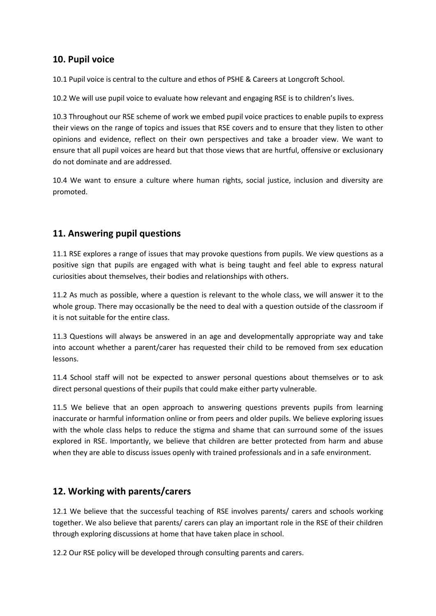## **10. Pupil voice**

10.1 Pupil voice is central to the culture and ethos of PSHE & Careers at Longcroft School.

10.2 We will use pupil voice to evaluate how relevant and engaging RSE is to children's lives.

10.3 Throughout our RSE scheme of work we embed pupil voice practices to enable pupils to express their views on the range of topics and issues that RSE covers and to ensure that they listen to other opinions and evidence, reflect on their own perspectives and take a broader view. We want to ensure that all pupil voices are heard but that those views that are hurtful, offensive or exclusionary do not dominate and are addressed.

10.4 We want to ensure a culture where human rights, social justice, inclusion and diversity are promoted.

## **11. Answering pupil questions**

11.1 RSE explores a range of issues that may provoke questions from pupils. We view questions as a positive sign that pupils are engaged with what is being taught and feel able to express natural curiosities about themselves, their bodies and relationships with others.

11.2 As much as possible, where a question is relevant to the whole class, we will answer it to the whole group. There may occasionally be the need to deal with a question outside of the classroom if it is not suitable for the entire class.

11.3 Questions will always be answered in an age and developmentally appropriate way and take into account whether a parent/carer has requested their child to be removed from sex education lessons.

11.4 School staff will not be expected to answer personal questions about themselves or to ask direct personal questions of their pupils that could make either party vulnerable.

11.5 We believe that an open approach to answering questions prevents pupils from learning inaccurate or harmful information online or from peers and older pupils. We believe exploring issues with the whole class helps to reduce the stigma and shame that can surround some of the issues explored in RSE. Importantly, we believe that children are better protected from harm and abuse when they are able to discuss issues openly with trained professionals and in a safe environment.

#### **12. Working with parents/carers**

12.1 We believe that the successful teaching of RSE involves parents/ carers and schools working together. We also believe that parents/ carers can play an important role in the RSE of their children through exploring discussions at home that have taken place in school.

12.2 Our RSE policy will be developed through consulting parents and carers.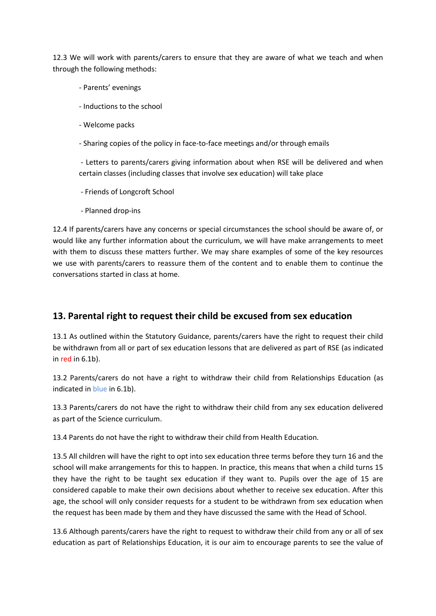12.3 We will work with parents/carers to ensure that they are aware of what we teach and when through the following methods:

- Parents' evenings
- Inductions to the school
- Welcome packs
- Sharing copies of the policy in face-to-face meetings and/or through emails

- Letters to parents/carers giving information about when RSE will be delivered and when certain classes (including classes that involve sex education) will take place

- Friends of Longcroft School
- Planned drop-ins

12.4 If parents/carers have any concerns or special circumstances the school should be aware of, or would like any further information about the curriculum, we will have make arrangements to meet with them to discuss these matters further. We may share examples of some of the key resources we use with parents/carers to reassure them of the content and to enable them to continue the conversations started in class at home.

#### **13. Parental right to request their child be excused from sex education**

13.1 As outlined within the Statutory Guidance, parents/carers have the right to request their child be withdrawn from all or part of sex education lessons that are delivered as part of RSE (as indicated in red in 6.1b).

13.2 Parents/carers do not have a right to withdraw their child from Relationships Education (as indicated in blue in 6.1b).

13.3 Parents/carers do not have the right to withdraw their child from any sex education delivered as part of the Science curriculum.

13.4 Parents do not have the right to withdraw their child from Health Education.

13.5 All children will have the right to opt into sex education three terms before they turn 16 and the school will make arrangements for this to happen. In practice, this means that when a child turns 15 they have the right to be taught sex education if they want to. Pupils over the age of 15 are considered capable to make their own decisions about whether to receive sex education. After this age, the school will only consider requests for a student to be withdrawn from sex education when the request has been made by them and they have discussed the same with the Head of School.

13.6 Although parents/carers have the right to request to withdraw their child from any or all of sex education as part of Relationships Education, it is our aim to encourage parents to see the value of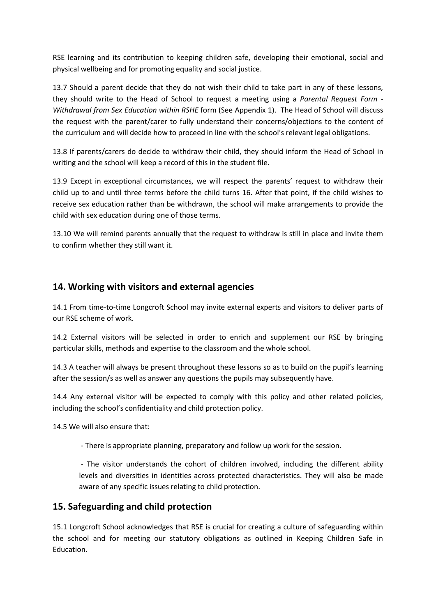RSE learning and its contribution to keeping children safe, developing their emotional, social and physical wellbeing and for promoting equality and social justice.

13.7 Should a parent decide that they do not wish their child to take part in any of these lessons, they should write to the Head of School to request a meeting using a *Parental Request Form - Withdrawal from Sex Education within RSHE* form (See Appendix 1). The Head of School will discuss the request with the parent/carer to fully understand their concerns/objections to the content of the curriculum and will decide how to proceed in line with the school's relevant legal obligations.

13.8 If parents/carers do decide to withdraw their child, they should inform the Head of School in writing and the school will keep a record of this in the student file.

13.9 Except in exceptional circumstances, we will respect the parents' request to withdraw their child up to and until three terms before the child turns 16. After that point, if the child wishes to receive sex education rather than be withdrawn, the school will make arrangements to provide the child with sex education during one of those terms.

13.10 We will remind parents annually that the request to withdraw is still in place and invite them to confirm whether they still want it.

#### **14. Working with visitors and external agencies**

14.1 From time-to-time Longcroft School may invite external experts and visitors to deliver parts of our RSE scheme of work.

14.2 External visitors will be selected in order to enrich and supplement our RSE by bringing particular skills, methods and expertise to the classroom and the whole school.

14.3 A teacher will always be present throughout these lessons so as to build on the pupil's learning after the session/s as well as answer any questions the pupils may subsequently have.

14.4 Any external visitor will be expected to comply with this policy and other related policies, including the school's confidentiality and child protection policy.

14.5 We will also ensure that:

- There is appropriate planning, preparatory and follow up work for the session.

- The visitor understands the cohort of children involved, including the different ability levels and diversities in identities across protected characteristics. They will also be made aware of any specific issues relating to child protection.

#### **15. Safeguarding and child protection**

15.1 Longcroft School acknowledges that RSE is crucial for creating a culture of safeguarding within the school and for meeting our statutory obligations as outlined in Keeping Children Safe in Education.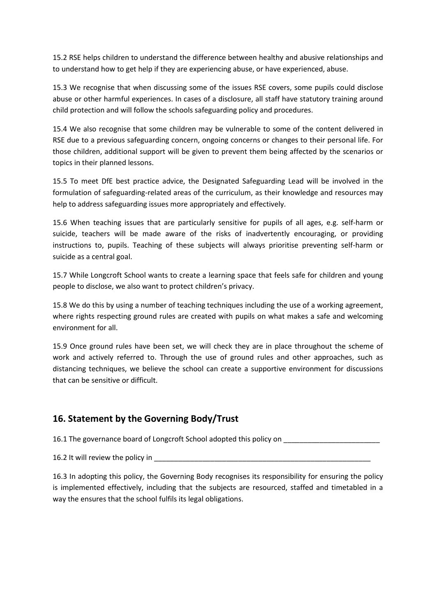15.2 RSE helps children to understand the difference between healthy and abusive relationships and to understand how to get help if they are experiencing abuse, or have experienced, abuse.

15.3 We recognise that when discussing some of the issues RSE covers, some pupils could disclose abuse or other harmful experiences. In cases of a disclosure, all staff have statutory training around child protection and will follow the schools safeguarding policy and procedures.

15.4 We also recognise that some children may be vulnerable to some of the content delivered in RSE due to a previous safeguarding concern, ongoing concerns or changes to their personal life. For those children, additional support will be given to prevent them being affected by the scenarios or topics in their planned lessons.

15.5 To meet DfE best practice advice, the Designated Safeguarding Lead will be involved in the formulation of safeguarding-related areas of the curriculum, as their knowledge and resources may help to address safeguarding issues more appropriately and effectively.

15.6 When teaching issues that are particularly sensitive for pupils of all ages, e.g. self-harm or suicide, teachers will be made aware of the risks of inadvertently encouraging, or providing instructions to, pupils. Teaching of these subjects will always prioritise preventing self-harm or suicide as a central goal.

15.7 While Longcroft School wants to create a learning space that feels safe for children and young people to disclose, we also want to protect children's privacy.

15.8 We do this by using a number of teaching techniques including the use of a working agreement, where rights respecting ground rules are created with pupils on what makes a safe and welcoming environment for all.

15.9 Once ground rules have been set, we will check they are in place throughout the scheme of work and actively referred to. Through the use of ground rules and other approaches, such as distancing techniques, we believe the school can create a supportive environment for discussions that can be sensitive or difficult.

## **16. Statement by the Governing Body/Trust**

16.1 The governance board of Longcroft School adopted this policy on

16.2 It will review the policy in

16.3 In adopting this policy, the Governing Body recognises its responsibility for ensuring the policy is implemented effectively, including that the subjects are resourced, staffed and timetabled in a way the ensures that the school fulfils its legal obligations.